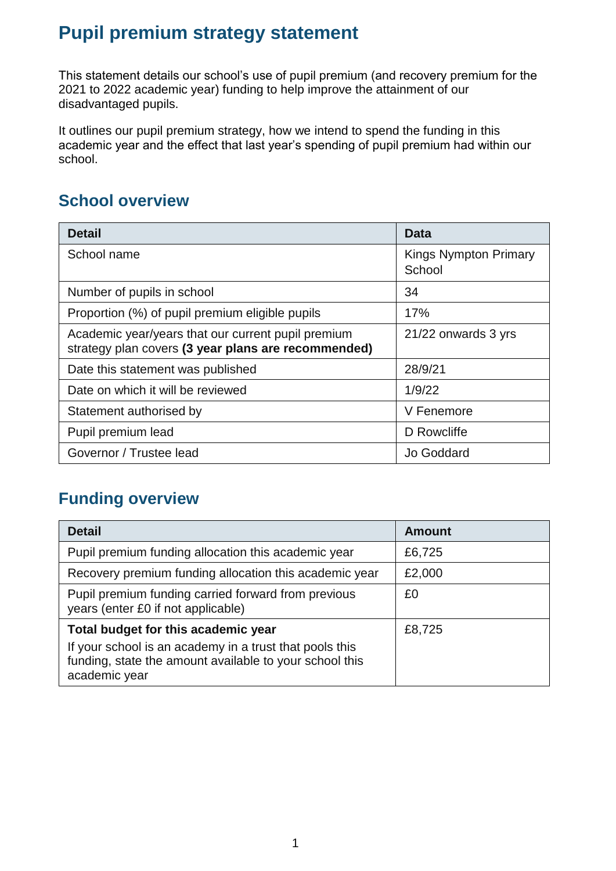# **Pupil premium strategy statement**

This statement details our school's use of pupil premium (and recovery premium for the 2021 to 2022 academic year) funding to help improve the attainment of our disadvantaged pupils.

It outlines our pupil premium strategy, how we intend to spend the funding in this academic year and the effect that last year's spending of pupil premium had within our school.

# **School overview**

| <b>Detail</b>                                                                                             | Data                                   |
|-----------------------------------------------------------------------------------------------------------|----------------------------------------|
| School name                                                                                               | <b>Kings Nympton Primary</b><br>School |
| Number of pupils in school                                                                                | 34                                     |
| Proportion (%) of pupil premium eligible pupils                                                           | 17%                                    |
| Academic year/years that our current pupil premium<br>strategy plan covers (3 year plans are recommended) | 21/22 onwards 3 yrs                    |
| Date this statement was published                                                                         | 28/9/21                                |
| Date on which it will be reviewed                                                                         | 1/9/22                                 |
| Statement authorised by                                                                                   | V Fenemore                             |
| Pupil premium lead                                                                                        | D Rowcliffe                            |
| Governor / Trustee lead                                                                                   | Jo Goddard                             |

# **Funding overview**

| <b>Detail</b>                                                                                                                       | <b>Amount</b> |
|-------------------------------------------------------------------------------------------------------------------------------------|---------------|
| Pupil premium funding allocation this academic year                                                                                 | £6,725        |
| Recovery premium funding allocation this academic year                                                                              | £2,000        |
| Pupil premium funding carried forward from previous<br>years (enter £0 if not applicable)                                           | £0            |
| Total budget for this academic year                                                                                                 | £8,725        |
| If your school is an academy in a trust that pools this<br>funding, state the amount available to your school this<br>academic year |               |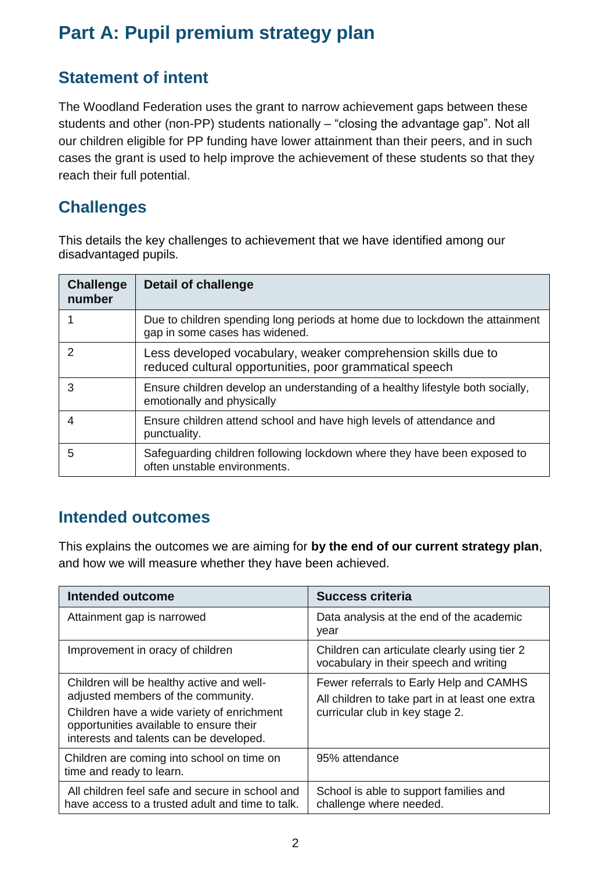# **Part A: Pupil premium strategy plan**

## **Statement of intent**

The Woodland Federation uses the grant to narrow achievement gaps between these students and other (non-PP) students nationally – "closing the advantage gap". Not all our children eligible for PP funding have lower attainment than their peers, and in such cases the grant is used to help improve the achievement of these students so that they reach their full potential.

### **Challenges**

This details the key challenges to achievement that we have identified among our disadvantaged pupils.

| <b>Challenge</b><br>number | <b>Detail of challenge</b>                                                                                               |
|----------------------------|--------------------------------------------------------------------------------------------------------------------------|
|                            | Due to children spending long periods at home due to lockdown the attainment<br>gap in some cases has widened.           |
| $\mathcal{P}$              | Less developed vocabulary, weaker comprehension skills due to<br>reduced cultural opportunities, poor grammatical speech |
| 3                          | Ensure children develop an understanding of a healthy lifestyle both socially,<br>emotionally and physically             |
| 4                          | Ensure children attend school and have high levels of attendance and<br>punctuality.                                     |
| 5                          | Safeguarding children following lockdown where they have been exposed to<br>often unstable environments.                 |

### **Intended outcomes**

This explains the outcomes we are aiming for **by the end of our current strategy plan**, and how we will measure whether they have been achieved.

| Intended outcome                                                                                                                 | <b>Success criteria</b>                                                                    |
|----------------------------------------------------------------------------------------------------------------------------------|--------------------------------------------------------------------------------------------|
| Attainment gap is narrowed                                                                                                       | Data analysis at the end of the academic<br>year                                           |
| Improvement in oracy of children                                                                                                 | Children can articulate clearly using tier 2<br>vocabulary in their speech and writing     |
| Children will be healthy active and well-<br>adjusted members of the community.                                                  | Fewer referrals to Early Help and CAMHS<br>All children to take part in at least one extra |
| Children have a wide variety of enrichment<br>opportunities available to ensure their<br>interests and talents can be developed. | curricular club in key stage 2.                                                            |
| Children are coming into school on time on<br>time and ready to learn.                                                           | 95% attendance                                                                             |
| All children feel safe and secure in school and<br>have access to a trusted adult and time to talk.                              | School is able to support families and<br>challenge where needed.                          |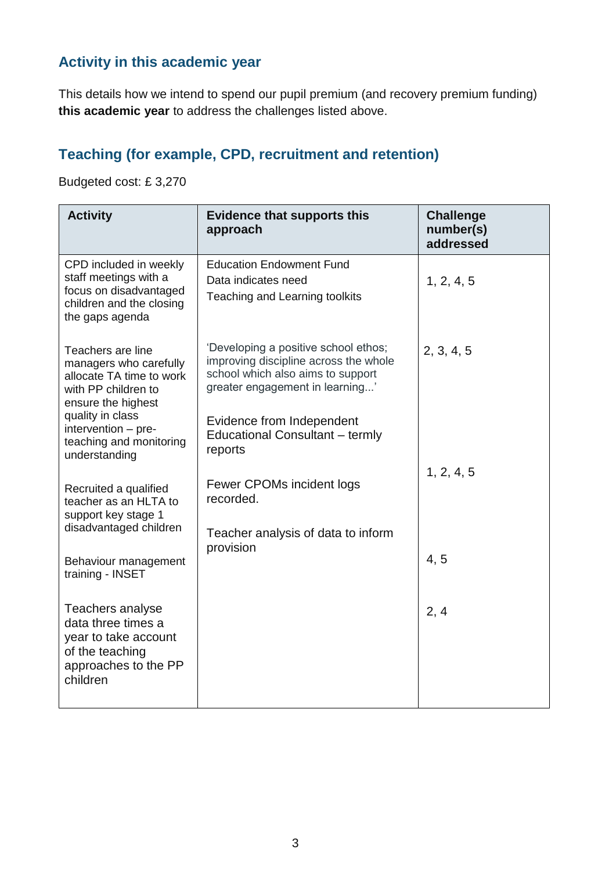#### **Activity in this academic year**

This details how we intend to spend our pupil premium (and recovery premium funding) **this academic year** to address the challenges listed above.

#### **Teaching (for example, CPD, recruitment and retention)**

Budgeted cost: £ 3,270

| <b>Activity</b>                                                                                                                                                 | <b>Evidence that supports this</b><br>approach                                                                                                                                     | <b>Challenge</b><br>number(s)<br>addressed |
|-----------------------------------------------------------------------------------------------------------------------------------------------------------------|------------------------------------------------------------------------------------------------------------------------------------------------------------------------------------|--------------------------------------------|
| CPD included in weekly<br>staff meetings with a<br>focus on disadvantaged<br>children and the closing<br>the gaps agenda                                        | <b>Education Endowment Fund</b><br>Data indicates need<br>Teaching and Learning toolkits                                                                                           | 1, 2, 4, 5                                 |
| Teachers are line<br>managers who carefully<br>allocate TA time to work<br>with PP children to<br>ensure the highest<br>quality in class<br>intervention - pre- | 'Developing a positive school ethos;<br>improving discipline across the whole<br>school which also aims to support<br>greater engagement in learning'<br>Evidence from Independent | 2, 3, 4, 5                                 |
| teaching and monitoring<br>understanding<br>Recruited a qualified                                                                                               | Educational Consultant - termly<br>reports<br>Fewer CPOMs incident logs                                                                                                            | 1, 2, 4, 5                                 |
| teacher as an HLTA to<br>support key stage 1<br>disadvantaged children                                                                                          | recorded.<br>Teacher analysis of data to inform<br>provision                                                                                                                       |                                            |
| Behaviour management<br>training - INSET                                                                                                                        |                                                                                                                                                                                    | 4, 5                                       |
| Teachers analyse<br>data three times a<br>year to take account<br>of the teaching<br>approaches to the PP<br>children                                           |                                                                                                                                                                                    | 2, 4                                       |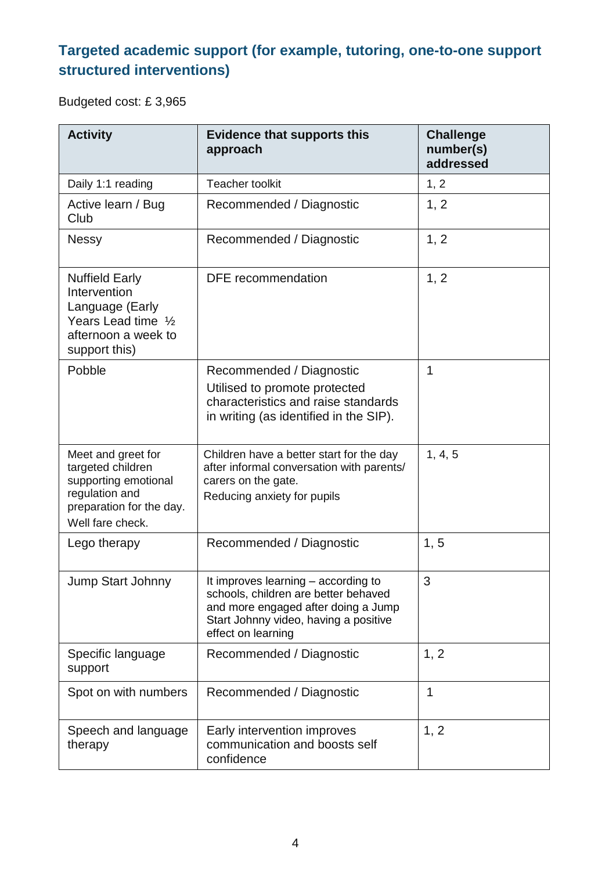# **Targeted academic support (for example, tutoring, one-to-one support structured interventions)**

Budgeted cost: £ 3,965

| <b>Activity</b>                                                                                                                   | <b>Evidence that supports this</b><br>approach                                                                                                                                    | <b>Challenge</b><br>number(s)<br>addressed |
|-----------------------------------------------------------------------------------------------------------------------------------|-----------------------------------------------------------------------------------------------------------------------------------------------------------------------------------|--------------------------------------------|
| Daily 1:1 reading                                                                                                                 | <b>Teacher toolkit</b>                                                                                                                                                            | 1, 2                                       |
| Active learn / Bug<br>Club                                                                                                        | Recommended / Diagnostic                                                                                                                                                          | 1, 2                                       |
| <b>Nessy</b>                                                                                                                      | Recommended / Diagnostic                                                                                                                                                          | 1, 2                                       |
| <b>Nuffield Early</b><br>Intervention<br>Language (Early<br>Years Lead time 1/2<br>afternoon a week to<br>support this)           | DFE recommendation                                                                                                                                                                | 1, 2                                       |
| Pobble                                                                                                                            | Recommended / Diagnostic<br>Utilised to promote protected<br>characteristics and raise standards<br>in writing (as identified in the SIP).                                        | 1                                          |
| Meet and greet for<br>targeted children<br>supporting emotional<br>regulation and<br>preparation for the day.<br>Well fare check. | Children have a better start for the day<br>after informal conversation with parents/<br>carers on the gate.<br>Reducing anxiety for pupils                                       | 1, 4, 5                                    |
| Lego therapy                                                                                                                      | Recommended / Diagnostic                                                                                                                                                          | 1, 5                                       |
| <b>Jump Start Johnny</b>                                                                                                          | It improves learning – according to<br>schools, children are better behaved<br>and more engaged after doing a Jump<br>Start Johnny video, having a positive<br>effect on learning | 3                                          |
| Specific language<br>support                                                                                                      | Recommended / Diagnostic                                                                                                                                                          | 1, 2                                       |
| Spot on with numbers                                                                                                              | Recommended / Diagnostic                                                                                                                                                          | 1                                          |
| Speech and language<br>therapy                                                                                                    | Early intervention improves<br>communication and boosts self<br>confidence                                                                                                        | 1, 2                                       |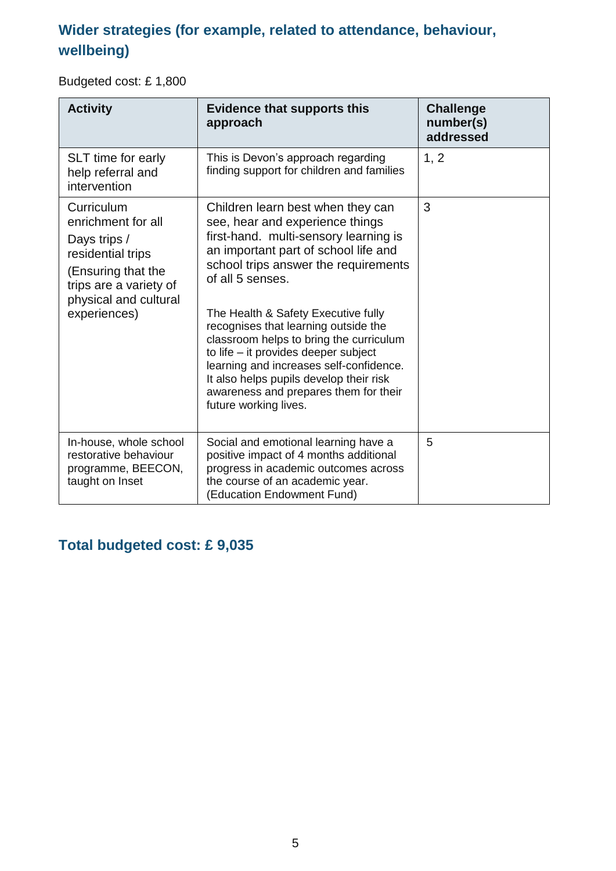### **Wider strategies (for example, related to attendance, behaviour, wellbeing)**

Budgeted cost: £ 1,800

| <b>Activity</b>                                                                                                                                                | <b>Evidence that supports this</b><br>approach                                                                                                                                                                                                                                                                                                                                                                                                                                                                                              | <b>Challenge</b><br>number(s)<br>addressed |
|----------------------------------------------------------------------------------------------------------------------------------------------------------------|---------------------------------------------------------------------------------------------------------------------------------------------------------------------------------------------------------------------------------------------------------------------------------------------------------------------------------------------------------------------------------------------------------------------------------------------------------------------------------------------------------------------------------------------|--------------------------------------------|
| SLT time for early<br>help referral and<br>intervention                                                                                                        | This is Devon's approach regarding<br>finding support for children and families                                                                                                                                                                                                                                                                                                                                                                                                                                                             | 1, 2                                       |
| Curriculum<br>enrichment for all<br>Days trips /<br>residential trips<br>(Ensuring that the<br>trips are a variety of<br>physical and cultural<br>experiences) | Children learn best when they can<br>see, hear and experience things<br>first-hand. multi-sensory learning is<br>an important part of school life and<br>school trips answer the requirements<br>of all 5 senses.<br>The Health & Safety Executive fully<br>recognises that learning outside the<br>classroom helps to bring the curriculum<br>to life - it provides deeper subject<br>learning and increases self-confidence.<br>It also helps pupils develop their risk<br>awareness and prepares them for their<br>future working lives. | 3                                          |
| In-house, whole school<br>restorative behaviour<br>programme, BEECON,<br>taught on Inset                                                                       | Social and emotional learning have a<br>positive impact of 4 months additional<br>progress in academic outcomes across<br>the course of an academic year.<br>(Education Endowment Fund)                                                                                                                                                                                                                                                                                                                                                     | 5                                          |

## **Total budgeted cost: £ 9,035**